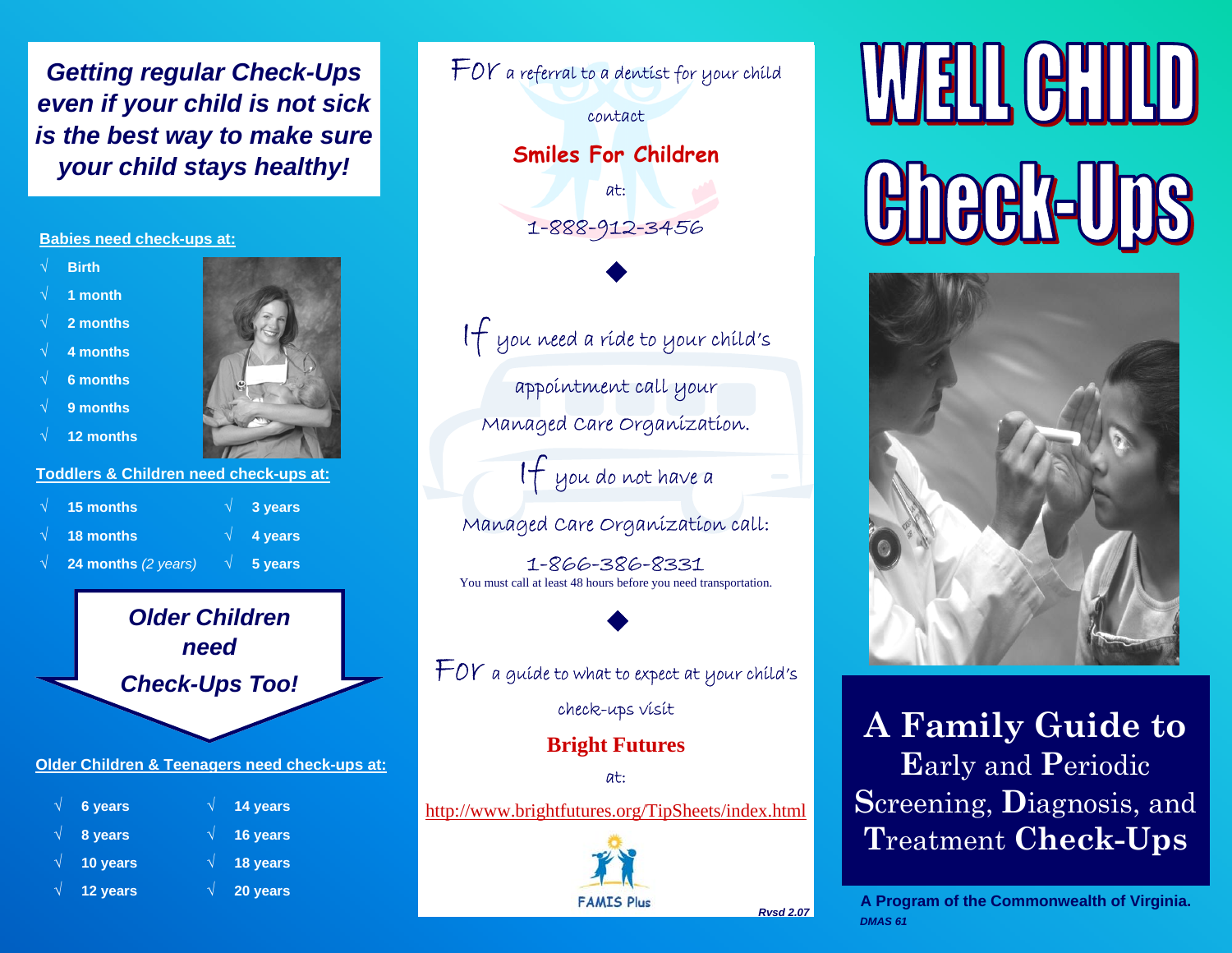*Getting regular Check-Ups even if your child is not sick is the best way to make sure your child stays healthy!* 

## **Babies need check-ups at:**

- √ **Birth**
- √ **1 month**
- √ **2 months**
- √ **4 months**
- √ **6 months**
- 
- √ **9 months**
- √ **12 months**



## **Toddlers & Children need check-ups at:**

| $\sqrt{15}$ months                            | $\sqrt{3}$ years         |
|-----------------------------------------------|--------------------------|
| $\sqrt{\phantom{a}}$ 18 months                | $\sqrt{4 \text{ years}}$ |
| $\sqrt{24}$ months (2 years) $\sqrt{5}$ years |                          |

*Older Children need Check-Ups Too!* 

**Older Children & Teenagers need check-ups at:**

- √ **6 years**
- √ **8 years**
- √ **10 years**
- √ **12 years**
- √ **16 years**  √ **18 years**  √ **20 years**

√ **14 years** 

| $\pm$ OY a referral to a dentist for your child                                   |  |  |  |
|-----------------------------------------------------------------------------------|--|--|--|
| contact                                                                           |  |  |  |
| <b>Smiles For Children</b>                                                        |  |  |  |
| at:                                                                               |  |  |  |
| 1-888-912-3456                                                                    |  |  |  |
|                                                                                   |  |  |  |
| $\mathcal H$ you need a ríde to your child's                                      |  |  |  |
| <mark>app</mark> oíntment call your                                               |  |  |  |
| Managed Care Organization.                                                        |  |  |  |
| If you do not have a                                                              |  |  |  |
| Managed Care Organization call:                                                   |  |  |  |
| 1-866-386-8331<br>You must call at least 48 hours before you need transportation. |  |  |  |
|                                                                                   |  |  |  |
| $\pm$ OY a guide to what to expect at your child's                                |  |  |  |
| check-ups visit                                                                   |  |  |  |
| <b>Bright Futures</b>                                                             |  |  |  |
| at:                                                                               |  |  |  |
| http://www.brightfutures.org/TipSheets/index.html                                 |  |  |  |
| $\sim$                                                                            |  |  |  |

*FAMIS Plus* 

**WELL CHILD Check-Uns** 



**A Family Guide to E**arly and **P**eriodic **S**creening, **D**iagnosis, and **T**reatment **Check-Ups**

**A Program of the Commonwealth of Virginia.**  *DMAS 61* 

*Rvsd 2.07*